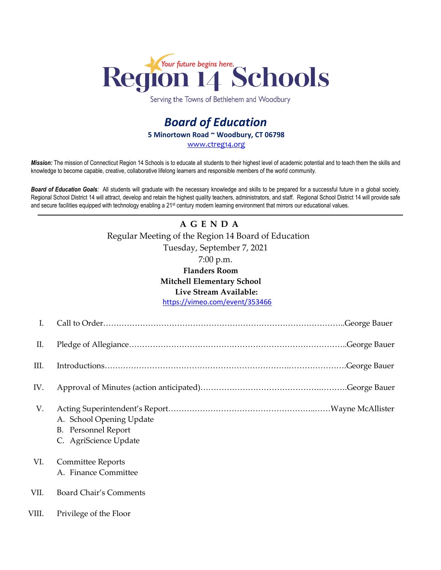

Serving the Towns of Bethlehem and Woodbury

## *Board of Education* **5 Minortown Road ~ Woodbury, CT 06798** [www.ctreg14.org](http://www.ctreg14.org/)

*Mission:* The mission of Connecticut Region 14 Schools is to educate all students to their highest level of academic potential and to teach them the skills and knowledge to become capable, creative, collaborative lifelong learners and responsible members of the world community.

*Board of Education Goals:* All students will graduate with the necessary knowledge and skills to be prepared for a successful future in a global society. Regional School District 14 will attract, develop and retain the highest quality teachers, administrators, and staff. Regional School District 14 will provide safe and secure facilities equipped with technology enabling a 21<sup>st</sup> century modern learning environment that mirrors our educational values.

## **A G E N D A** Regular Meeting of the Region 14 Board of Education Tuesday, September 7, 2021 7:00 p.m. **Flanders Room Mitchell Elementary School Live Stream Available:**

<https://vimeo.com/event/353466>

| I.    |                                                                                 |
|-------|---------------------------------------------------------------------------------|
| П.    |                                                                                 |
| Ш.    |                                                                                 |
| IV.   |                                                                                 |
| V.    | A. School Opening Update<br><b>B.</b> Personnel Report<br>C. AgriScience Update |
| VI.   | <b>Committee Reports</b><br>A. Finance Committee                                |
| VII.  | Board Chair's Comments                                                          |
| VIII. | Privilege of the Floor                                                          |